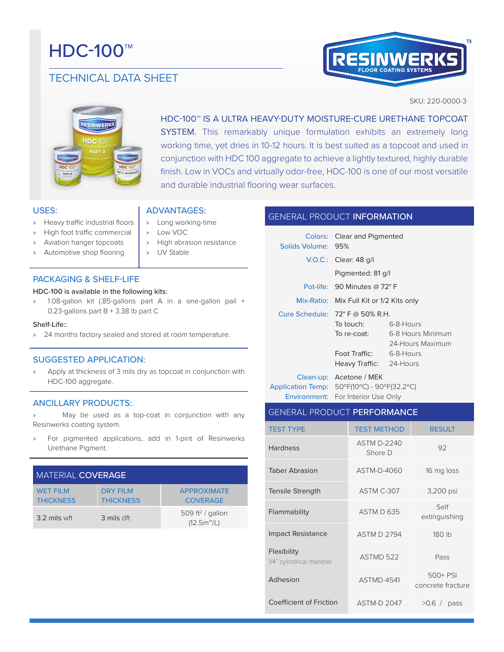# **HDC-100™**

# TECHNICAL DATA SHEET



SKU: 220-0000-3



HDC-100™ IS A ULTRA HEAVY-DUTY MOISTURE-CURE URETHANE TOPCOAT SYSTEM. This remarkably unique formulation exhibits an extremely long working time, yet dries in 10-12 hours. It is best suited as a topcoat and used in conjunction with HDC 100 aggregate to achieve a lightly textured, highly durable finish. Low in VOCs and virtually odor-free, HDC-100 is one of our most versatile and durable industrial flooring wear surfaces.

# USES:

- » Heavy traffic industrial floors
- » High foot traffic commercial
- Aviation hanger topcoats
- » Automotive shop flooring

# PACKAGING & SHELF-LIFE

#### HDC-100 is available in the following kits:

» 1.08-gallon kit (.85-gallons part A in a one-gallon pail + 0.23-gallons part B + 3.38 lb part C

ADVANTAGES: » Long working-time

» High abrasion resistance

» Low VOC

» UV Stable

#### Shelf-Life::

» 24 months factory sealed and stored at room temperature.

# SUGGESTED APPLICATION:

Apply at thickness of 3 mils dry as topcoat in conjunction with HDC-100 aggregate.

# ANCILLARY PRODUCTS:.

» May be used as a top-coat in conjunction with any Resinwerks coating system.

» For pigmented applications, add in 1-pint of Resinwerks Urethane Pigment.

| MATERIAL COVERAGE                   |                                     |                                               |  |  |
|-------------------------------------|-------------------------------------|-----------------------------------------------|--|--|
| <b>WET FILM</b><br><b>THICKNESS</b> | <b>DRY FILM</b><br><b>THICKNESS</b> | <b>APPROXIMATE</b><br><b>COVERAGE</b>         |  |  |
| 3.2 mils wft                        | 3 mils dft                          | 509 ft <sup>2</sup> / gallon<br>$(12.5m^m/L)$ |  |  |

# GENERAL PRODUCT INFORMATION

| Solids Volume: 95% | <b>Colors:</b> Clear and Pigmented       |                   |  |
|--------------------|------------------------------------------|-------------------|--|
|                    | $V.O.C.:$ Clear: 48 g/l                  |                   |  |
|                    | Pigmented: 81 g/l                        |                   |  |
|                    | Pot-life: 90 Minutes $@72°$ F            |                   |  |
|                    | Mix-Ratio: Mix Full Kit or 1/2 Kits only |                   |  |
|                    | Cure Schedule: $72^{\circ}$ F @ 50% R.H. |                   |  |
|                    | To touch: To                             | 6-8-Hours         |  |
|                    | To re-coat:                              | 6-8 Hours Minimum |  |
|                    |                                          | 24-Hours Maximum  |  |
|                    | Foot Traffic: The Foot Tra               | 6-8-Hours         |  |
|                    | Heavy Traffic: 24-Hours                  |                   |  |
|                    | Clean-up: Acetone / MEK                  |                   |  |

Application Temp: 50ºF(10ºC) - 90ºF(32.2ºC) Environment: For Interior Use Only

| <b>GENERAL PRODUCT PERFORMANCE</b>      |                               |                               |  |  |
|-----------------------------------------|-------------------------------|-------------------------------|--|--|
| <b>TEST TYPE</b>                        | <b>TEST METHOD</b>            | <b>RESULT</b>                 |  |  |
| <b>Hardness</b>                         | <b>ASTM D-2240</b><br>Shore D | 92                            |  |  |
| <b>Taber Abrasion</b>                   | ASTM-D-4060                   | 16 mg loss                    |  |  |
| Tensile Strength                        | ASTM C-307                    | 3,200 psi                     |  |  |
| Flammability                            | ASTM D 635                    | Self<br>extinguishing         |  |  |
| <b>Impact Resistance</b>                | <b>ASTM D 2794</b>            | 180 lb                        |  |  |
| Flexibility<br>1/4" cylindrical mandrel | ASTMD 522                     | Pass                          |  |  |
| Adhesion                                | ASTMD-4541                    | 500+ PSI<br>concrete fracture |  |  |
| Coefficient of Friction                 | <b>ASTM-D 2047</b>            | $>0.6$ /<br>pass              |  |  |